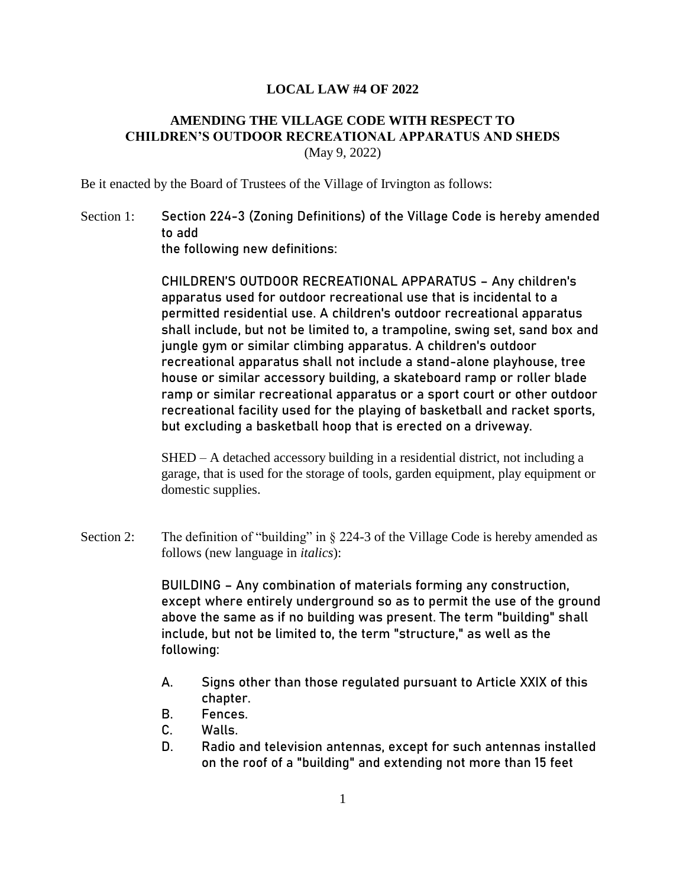## **LOCAL LAW #4 OF 2022**

## **AMENDING THE VILLAGE CODE WITH RESPECT TO CHILDREN'S OUTDOOR RECREATIONAL APPARATUS AND SHEDS** (May 9, 2022)

Be it enacted by the Board of Trustees of the Village of Irvington as follows:

Section 1: Section 224-3 (Zoning Definitions) of the Village Code is hereby amended to add the following new definitions:

> CHILDREN'S OUTDOOR RECREATIONAL APPARATUS – Any children's apparatus used for outdoor recreational use that is incidental to a permitted residential use. A children's outdoor recreational apparatus shall include, but not be limited to, a trampoline, swing set, sand box and jungle gym or similar climbing apparatus. A children's outdoor recreational apparatus shall not include a stand-alone playhouse, tree house or similar accessory building, a skateboard ramp or roller blade ramp or similar recreational apparatus or a sport court or other outdoor recreational facility used for the playing of basketball and racket sports, but excluding a basketball hoop that is erected on a driveway.

> SHED – A detached accessory building in a residential district, not including a garage, that is used for the storage of tools, garden equipment, play equipment or domestic supplies.

Section 2: The definition of "building" in § 224-3 of the Village Code is hereby amended as follows (new language in *italics*):

> BUILDING – Any combination of materials forming any construction, except where entirely underground so as to permit the use of the ground above the same as if no building was present. The term "building" shall include, but not be limited to, the term "structure," as well as the following:

- A. Signs other than those regulated pursuant to Article XXIX of this chapter.
- B. Fences.
- C. Walls.
- D. Radio and television antennas, except for such antennas installed on the roof of a "building" and extending not more than 15 feet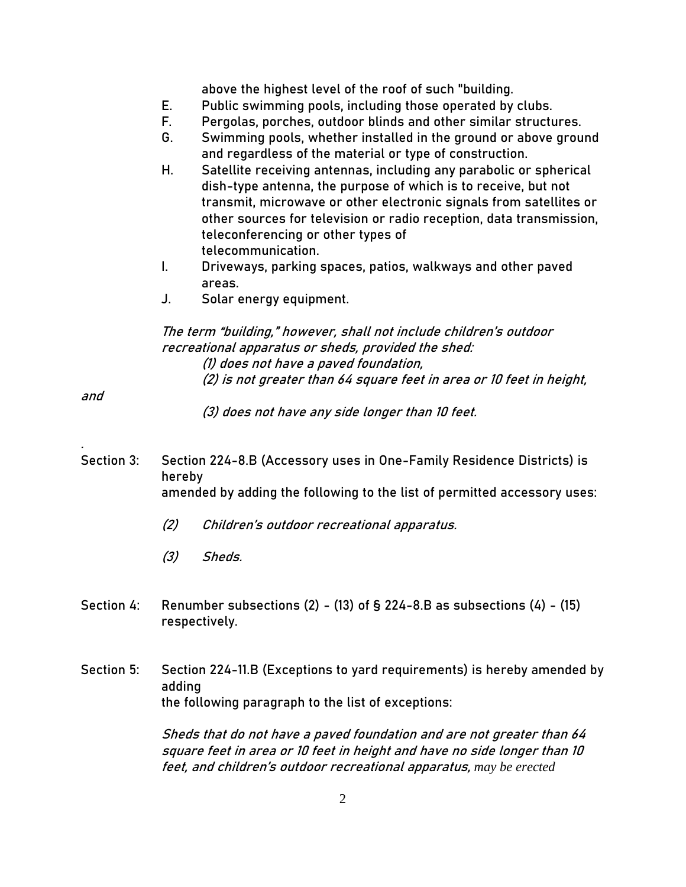above the highest level of the roof of such "building.

- E. Public swimming pools, including those operated by clubs.
- F. Pergolas, porches, outdoor blinds and other similar structures.
- G. Swimming pools, whether installed in the ground or above ground and regardless of the material or type of construction.
- H. Satellite receiving antennas, including any parabolic or spherical dish-type antenna, the purpose of which is to receive, but not transmit, microwave or other electronic signals from satellites or other sources for television or radio reception, data transmission, teleconferencing or other types of telecommunication.
- I. Driveways, parking spaces, patios, walkways and other paved areas.
- J. Solar energy equipment.

The term "building," however, shall not include children's outdoor recreational apparatus or sheds, provided the shed: (1) does not have a paved foundation, (2) is not greater than 64 square feet in area or 10 feet in height,

and

.

- (3) does not have any side longer than 10 feet.
- Section 3: Section 224-8.B (Accessory uses in One-Family Residence Districts) is hereby amended by adding the following to the list of permitted accessory uses:
	- (2) Children's outdoor recreational apparatus.
	- (3) Sheds.
- Section 4: Renumber subsections (2) (13) of  $\S$  224-8.B as subsections (4) (15) respectively.
- Section 5: Section 224-11.B (Exceptions to yard requirements) is hereby amended by adding the following paragraph to the list of exceptions:

Sheds that do not have a paved foundation and are not greater than 64 square feet in area or 10 feet in height and have no side longer than 10 feet, and children's outdoor recreational apparatus, *may be erected*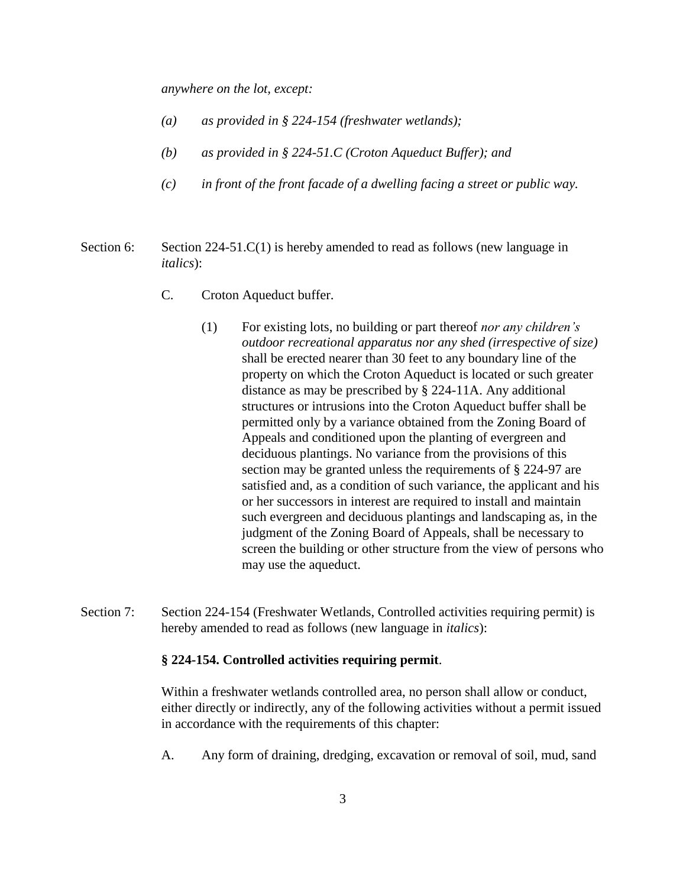*anywhere on the lot, except:*

- *(a) as provided in § 224-154 (freshwater wetlands);*
- *(b) as provided in § 224-51.C (Croton Aqueduct Buffer); and*
- *(c) in front of the front facade of a dwelling facing a street or public way.*
- Section 6: Section 224-51.C(1) is hereby amended to read as follows (new language in *italics*):
	- C. Croton Aqueduct buffer.
		- (1) For existing lots, no building or part thereof *nor any children's outdoor recreational apparatus nor any shed (irrespective of size)*  shall be erected nearer than 30 feet to any boundary line of the property on which the Croton Aqueduct is located or such greater distance as may be prescribed by § 224-11A. Any additional structures or intrusions into the Croton Aqueduct buffer shall be permitted only by a variance obtained from the Zoning Board of Appeals and conditioned upon the planting of evergreen and deciduous plantings. No variance from the provisions of this section may be granted unless the requirements of § 224-97 are satisfied and, as a condition of such variance, the applicant and his or her successors in interest are required to install and maintain such evergreen and deciduous plantings and landscaping as, in the judgment of the Zoning Board of Appeals, shall be necessary to screen the building or other structure from the view of persons who may use the aqueduct.
- Section 7: Section 224-154 (Freshwater Wetlands, Controlled activities requiring permit) is hereby amended to read as follows (new language in *italics*):

## **§ 224-154. Controlled activities requiring permit**.

Within a freshwater wetlands controlled area, no person shall allow or conduct, either directly or indirectly, any of the following activities without a permit issued in accordance with the requirements of this chapter:

A. Any form of draining, dredging, excavation or removal of soil, mud, sand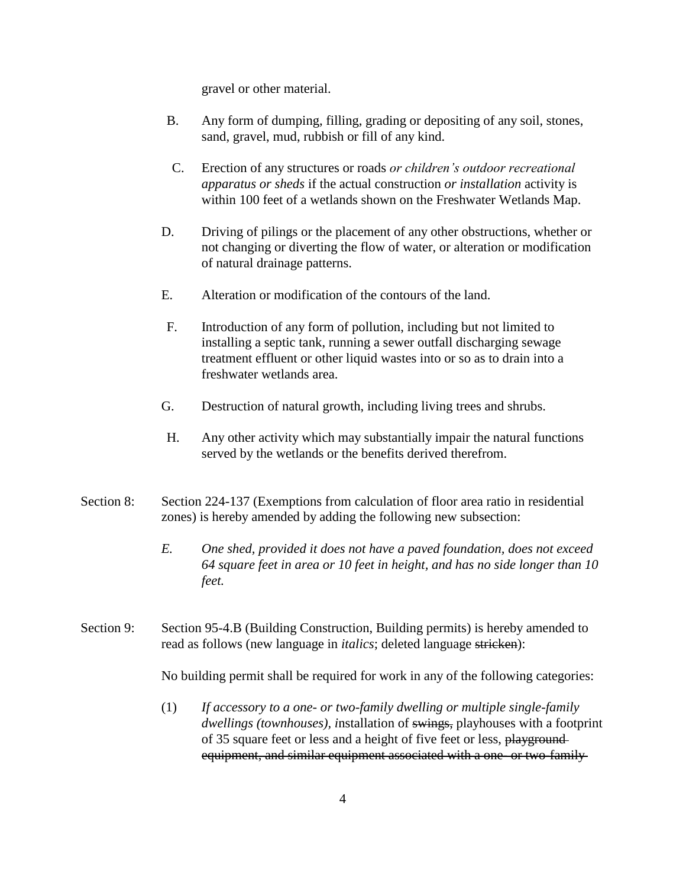gravel or other material.

- B. Any form of dumping, filling, grading or depositing of any soil, stones, sand, gravel, mud, rubbish or fill of any kind.
- C. Erection of any structures or roads *or children's outdoor recreational apparatus or sheds* if the actual construction *or installation* activity is within 100 feet of a wetlands shown on the Freshwater Wetlands Map.
- D. Driving of pilings or the placement of any other obstructions, whether or not changing or diverting the flow of water, or alteration or modification of natural drainage patterns.
- E. Alteration or modification of the contours of the land.
- F. Introduction of any form of pollution, including but not limited to installing a septic tank, running a sewer outfall discharging sewage treatment effluent or other liquid wastes into or so as to drain into a freshwater wetlands area.
- G. Destruction of natural growth, including living trees and shrubs.
- H. Any other activity which may substantially impair the natural functions served by the wetlands or the benefits derived therefrom.
- Section 8: Section 224-137 (Exemptions from calculation of floor area ratio in residential zones) is hereby amended by adding the following new subsection:
	- *E. One shed, provided it does not have a paved foundation, does not exceed 64 square feet in area or 10 feet in height, and has no side longer than 10 feet.*
- Section 9: Section 95-4.B (Building Construction, Building permits) is hereby amended to read as follows (new language in *italics*; deleted language stricken):

No building permit shall be required for work in any of the following categories:

(1) *If accessory to a one- or two-family dwelling or multiple single-family dwellings (townhouses), i*nstallation of swings, playhouses with a footprint of 35 square feet or less and a height of five feet or less, playground equipment, and similar equipment associated with a one- or two-family